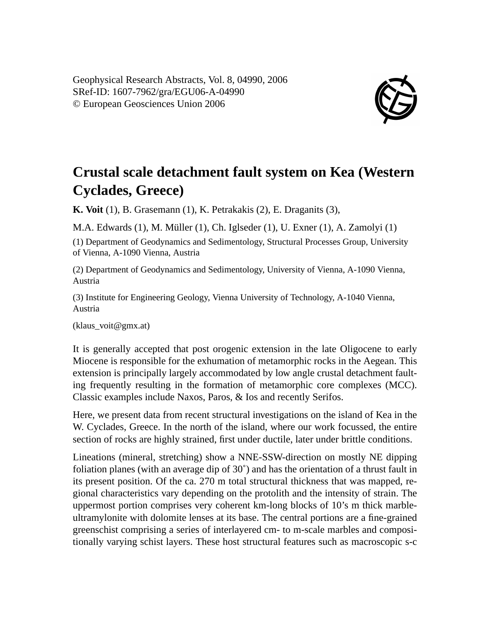

## **Crustal scale detachment fault system on Kea (Western Cyclades, Greece)**

**K. Voit** (1), B. Grasemann (1), K. Petrakakis (2), E. Draganits (3),

M.A. Edwards (1), M. Müller (1), Ch. Iglseder (1), U. Exner (1), A. Zamolyi (1)

(1) Department of Geodynamics and Sedimentology, Structural Processes Group, University of Vienna, A-1090 Vienna, Austria

(2) Department of Geodynamics and Sedimentology, University of Vienna, A-1090 Vienna, Austria

(3) Institute for Engineering Geology, Vienna University of Technology, A-1040 Vienna, Austria

(klaus\_voit@gmx.at)

It is generally accepted that post orogenic extension in the late Oligocene to early Miocene is responsible for the exhumation of metamorphic rocks in the Aegean. This extension is principally largely accommodated by low angle crustal detachment faulting frequently resulting in the formation of metamorphic core complexes (MCC). Classic examples include Naxos, Paros, & Ios and recently Serifos.

Here, we present data from recent structural investigations on the island of Kea in the W. Cyclades, Greece. In the north of the island, where our work focussed, the entire section of rocks are highly strained, first under ductile, later under brittle conditions.

Lineations (mineral, stretching) show a NNE-SSW-direction on mostly NE dipping foliation planes (with an average dip of 30˚) and has the orientation of a thrust fault in its present position. Of the ca. 270 m total structural thickness that was mapped, regional characteristics vary depending on the protolith and the intensity of strain. The uppermost portion comprises very coherent km-long blocks of 10's m thick marbleultramylonite with dolomite lenses at its base. The central portions are a fine-grained greenschist comprising a series of interlayered cm- to m-scale marbles and compositionally varying schist layers. These host structural features such as macroscopic s-c